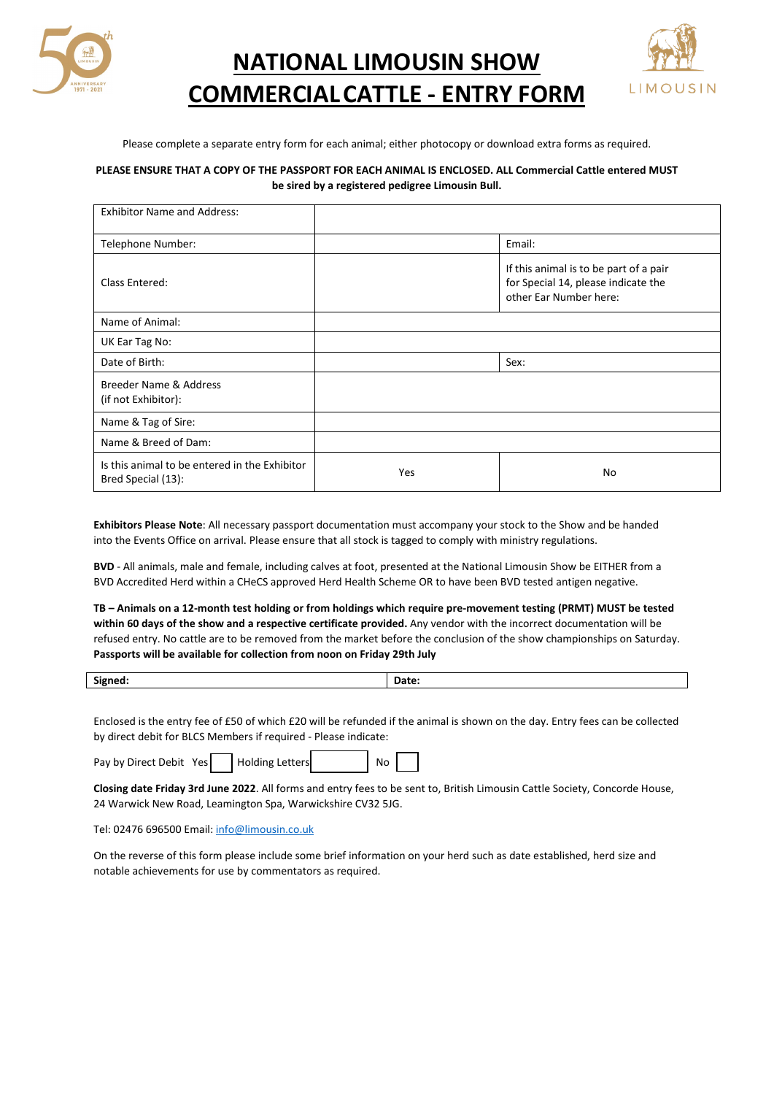

**NATIONAL LIMOUSIN SHOW COMMERCIALCATTLE - ENTRY FORM**



Please complete a separate entry form for each animal; either photocopy or download extra forms as required.

## **PLEASE ENSURE THAT A COPY OF THE PASSPORT FOR EACH ANIMAL IS ENCLOSED. ALL Commercial Cattle entered MUST be sired by a registered pedigree Limousin Bull.**

| <b>Exhibitor Name and Address:</b>                                  |            |                                                                                                         |
|---------------------------------------------------------------------|------------|---------------------------------------------------------------------------------------------------------|
| Telephone Number:                                                   |            | Email:                                                                                                  |
| Class Entered:                                                      |            | If this animal is to be part of a pair<br>for Special 14, please indicate the<br>other Ear Number here: |
| Name of Animal:                                                     |            |                                                                                                         |
| UK Ear Tag No:                                                      |            |                                                                                                         |
| Date of Birth:                                                      |            | Sex:                                                                                                    |
| Breeder Name & Address<br>(if not Exhibitor):                       |            |                                                                                                         |
| Name & Tag of Sire:                                                 |            |                                                                                                         |
| Name & Breed of Dam:                                                |            |                                                                                                         |
| Is this animal to be entered in the Exhibitor<br>Bred Special (13): | <b>Yes</b> | No                                                                                                      |

**Exhibitors Please Note**: All necessary passport documentation must accompany your stock to the Show and be handed into the Events Office on arrival. Please ensure that all stock is tagged to comply with ministry regulations.

**BVD** - All animals, male and female, including calves at foot, presented at the National Limousin Show be EITHER from a BVD Accredited Herd within a CHeCS approved Herd Health Scheme OR to have been BVD tested antigen negative.

**TB – Animals on a 12-month test holding or from holdings which require pre-movement testing (PRMT) MUST be tested within 60 days of the show and a respective certificate provided.** Any vendor with the incorrect documentation will be refused entry. No cattle are to be removed from the market before the conclusion of the show championships on Saturday. **Passports will be available for collection from noon on Friday 29th July** 

| $\mathbf{H}$<br>Signe<br>--- | . |
|------------------------------|---|
|                              |   |

Enclosed is the entry fee of £50 of which £20 will be refunded if the animal is shown on the day. Entry fees can be collected by direct debit for BLCS Members if required - Please indicate:

Pay by Direct Debit Yes Holding Letters No

**Closing date Friday 3rd June 2022**. All forms and entry fees to be sent to, British Limousin Cattle Society, Concorde House, 24 Warwick New Road, Leamington Spa, Warwickshire CV32 5JG.

Tel: 02476 696500 Email[: info@limousin.co.uk](mailto:info@limousin.co.uk)

On the reverse of this form please include some brief information on your herd such as date established, herd size and notable achievements for use by commentators as required.